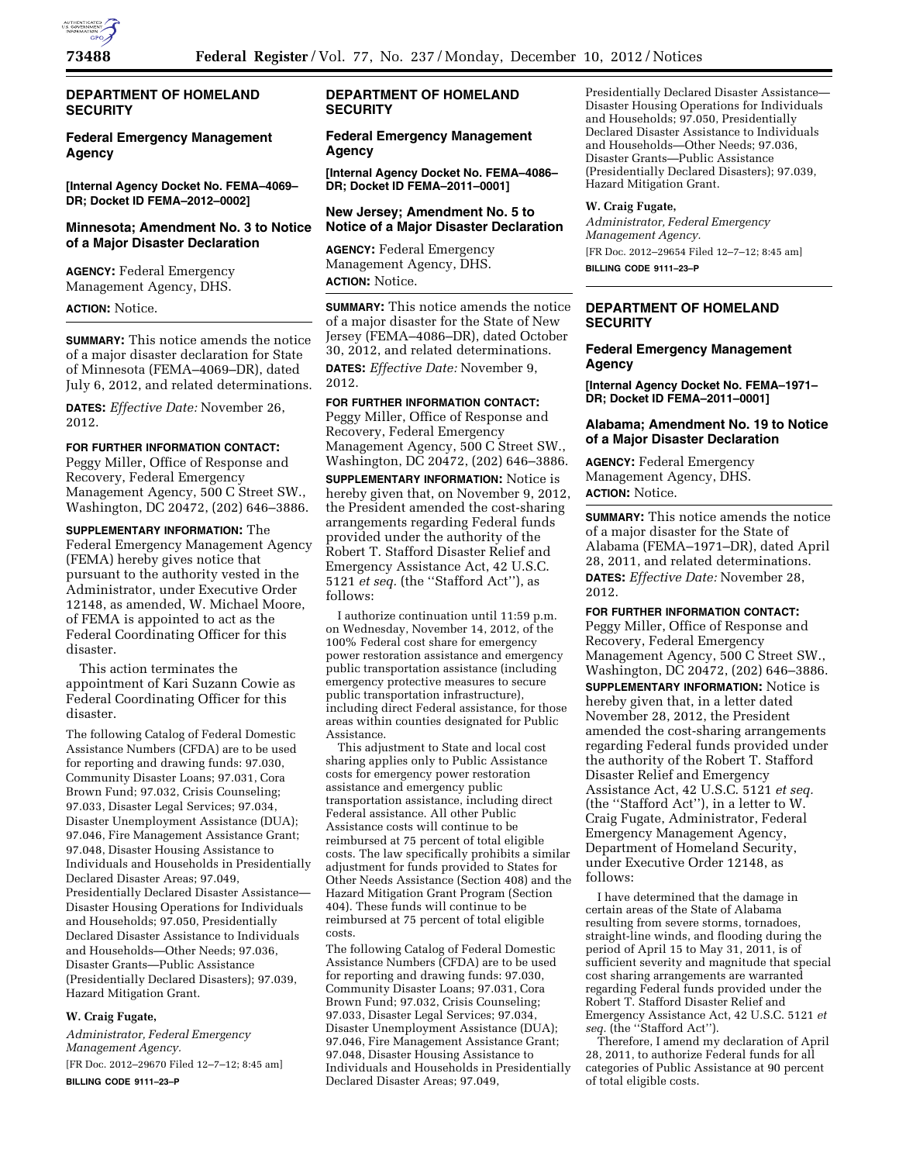

# **DEPARTMENT OF HOMELAND SECURITY**

# **Federal Emergency Management Agency**

**[Internal Agency Docket No. FEMA–4069– DR; Docket ID FEMA–2012–0002]** 

### **Minnesota; Amendment No. 3 to Notice of a Major Disaster Declaration**

**AGENCY:** Federal Emergency Management Agency, DHS.

#### **ACTION:** Notice.

**SUMMARY:** This notice amends the notice of a major disaster declaration for State of Minnesota (FEMA–4069–DR), dated July 6, 2012, and related determinations.

**DATES:** *Effective Date:* November 26, 2012.

# **FOR FURTHER INFORMATION CONTACT:**

Peggy Miller, Office of Response and Recovery, Federal Emergency Management Agency, 500 C Street SW., Washington, DC 20472, (202) 646–3886.

## **SUPPLEMENTARY INFORMATION:** The Federal Emergency Management Agency (FEMA) hereby gives notice that pursuant to the authority vested in the Administrator, under Executive Order 12148, as amended, W. Michael Moore, of FEMA is appointed to act as the Federal Coordinating Officer for this disaster.

This action terminates the appointment of Kari Suzann Cowie as Federal Coordinating Officer for this disaster.

The following Catalog of Federal Domestic Assistance Numbers (CFDA) are to be used for reporting and drawing funds: 97.030, Community Disaster Loans; 97.031, Cora Brown Fund; 97.032, Crisis Counseling; 97.033, Disaster Legal Services; 97.034, Disaster Unemployment Assistance (DUA); 97.046, Fire Management Assistance Grant; 97.048, Disaster Housing Assistance to Individuals and Households in Presidentially Declared Disaster Areas; 97.049, Presidentially Declared Disaster Assistance— Disaster Housing Operations for Individuals and Households; 97.050, Presidentially Declared Disaster Assistance to Individuals and Households—Other Needs; 97.036, Disaster Grants—Public Assistance (Presidentially Declared Disasters); 97.039, Hazard Mitigation Grant.

# **W. Craig Fugate,**

*Administrator, Federal Emergency Management Agency.* 

[FR Doc. 2012–29670 Filed 12–7–12; 8:45 am] **BILLING CODE 9111–23–P** 

# **DEPARTMENT OF HOMELAND SECURITY**

# **Federal Emergency Management Agency**

**[Internal Agency Docket No. FEMA–4086– DR; Docket ID FEMA–2011–0001]** 

#### **New Jersey; Amendment No. 5 to Notice of a Major Disaster Declaration**

**AGENCY:** Federal Emergency Management Agency, DHS. **ACTION:** Notice.

**SUMMARY:** This notice amends the notice of a major disaster for the State of New Jersey (FEMA–4086–DR), dated October 30, 2012, and related determinations. **DATES:** *Effective Date:* November 9, 2012.

**FOR FURTHER INFORMATION CONTACT:**  Peggy Miller, Office of Response and Recovery, Federal Emergency Management Agency, 500 C Street SW., Washington, DC 20472, (202) 646–3886.

**SUPPLEMENTARY INFORMATION:** Notice is hereby given that, on November 9, 2012, the President amended the cost-sharing arrangements regarding Federal funds provided under the authority of the Robert T. Stafford Disaster Relief and Emergency Assistance Act, 42 U.S.C. 5121 *et seq.* (the ''Stafford Act''), as follows:

I authorize continuation until 11:59 p.m. on Wednesday, November 14, 2012, of the 100% Federal cost share for emergency power restoration assistance and emergency public transportation assistance (including emergency protective measures to secure public transportation infrastructure), including direct Federal assistance, for those areas within counties designated for Public Assistance.

This adjustment to State and local cost sharing applies only to Public Assistance costs for emergency power restoration assistance and emergency public transportation assistance, including direct Federal assistance. All other Public Assistance costs will continue to be reimbursed at 75 percent of total eligible costs. The law specifically prohibits a similar adjustment for funds provided to States for Other Needs Assistance (Section 408) and the Hazard Mitigation Grant Program (Section 404). These funds will continue to be reimbursed at 75 percent of total eligible costs.

The following Catalog of Federal Domestic Assistance Numbers (CFDA) are to be used for reporting and drawing funds: 97.030, Community Disaster Loans; 97.031, Cora Brown Fund; 97.032, Crisis Counseling; 97.033, Disaster Legal Services; 97.034, Disaster Unemployment Assistance (DUA); 97.046, Fire Management Assistance Grant; 97.048, Disaster Housing Assistance to Individuals and Households in Presidentially Declared Disaster Areas; 97.049,

Presidentially Declared Disaster Assistance— Disaster Housing Operations for Individuals and Households; 97.050, Presidentially Declared Disaster Assistance to Individuals and Households—Other Needs; 97.036, Disaster Grants—Public Assistance (Presidentially Declared Disasters); 97.039, Hazard Mitigation Grant.

### **W. Craig Fugate,**

*Administrator, Federal Emergency Management Agency.*  [FR Doc. 2012–29654 Filed 12–7–12; 8:45 am] **BILLING CODE 9111–23–P** 

# **DEPARTMENT OF HOMELAND SECURITY**

# **Federal Emergency Management Agency**

**[Internal Agency Docket No. FEMA–1971– DR; Docket ID FEMA–2011–0001]** 

### **Alabama; Amendment No. 19 to Notice of a Major Disaster Declaration**

**AGENCY:** Federal Emergency Management Agency, DHS. **ACTION:** Notice.

**SUMMARY:** This notice amends the notice of a major disaster for the State of Alabama (FEMA–1971–DR), dated April 28, 2011, and related determinations. **DATES:** *Effective Date:* November 28, 2012.

**FOR FURTHER INFORMATION CONTACT:**  Peggy Miller, Office of Response and Recovery, Federal Emergency Management Agency, 500 C Street SW., Washington, DC 20472, (202) 646–3886. **SUPPLEMENTARY INFORMATION:** Notice is hereby given that, in a letter dated November 28, 2012, the President amended the cost-sharing arrangements regarding Federal funds provided under the authority of the Robert T. Stafford Disaster Relief and Emergency Assistance Act, 42 U.S.C. 5121 *et seq.*  (the ''Stafford Act''), in a letter to W. Craig Fugate, Administrator, Federal Emergency Management Agency, Department of Homeland Security, under Executive Order 12148, as follows:

I have determined that the damage in certain areas of the State of Alabama resulting from severe storms, tornadoes, straight-line winds, and flooding during the period of April 15 to May 31, 2011, is of sufficient severity and magnitude that special cost sharing arrangements are warranted regarding Federal funds provided under the Robert T. Stafford Disaster Relief and Emergency Assistance Act, 42 U.S.C. 5121 *et seq.* (the ''Stafford Act'').

Therefore, I amend my declaration of April 28, 2011, to authorize Federal funds for all categories of Public Assistance at 90 percent of total eligible costs.